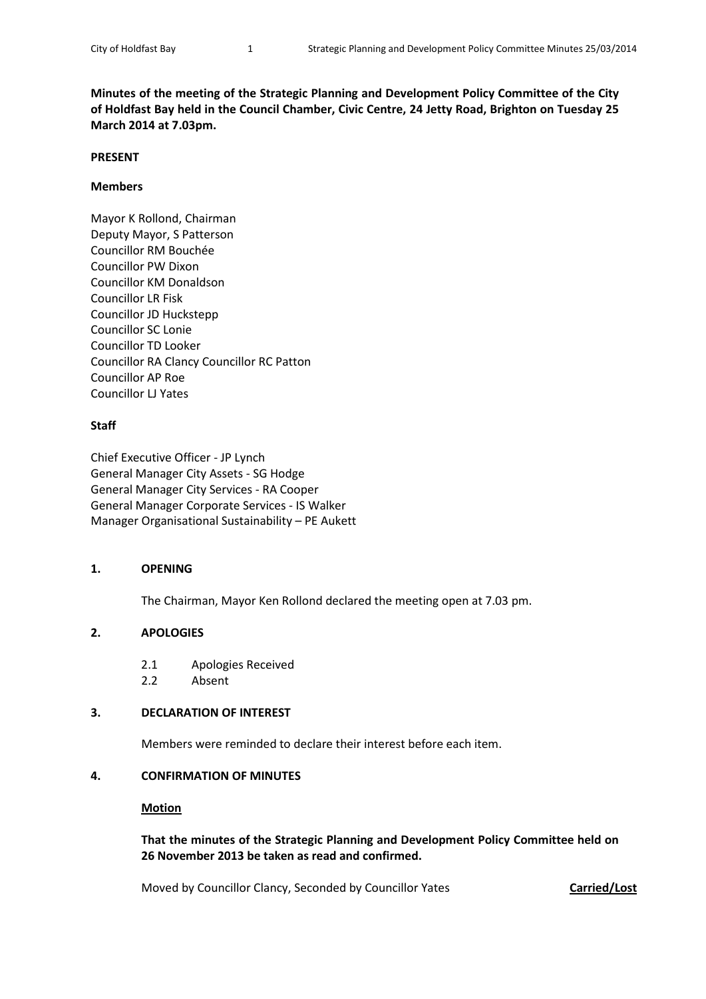**Minutes of the meeting of the Strategic Planning and Development Policy Committee of the City of Holdfast Bay held in the Council Chamber, Civic Centre, 24 Jetty Road, Brighton on Tuesday 25 March 2014 at 7.03pm.**

#### **PRESENT**

#### **Members**

Mayor K Rollond, Chairman Deputy Mayor, S Patterson Councillor RM Bouchée Councillor PW Dixon Councillor KM Donaldson Councillor LR Fisk Councillor JD Huckstepp Councillor SC Lonie Councillor TD Looker Councillor RA Clancy Councillor RC Patton Councillor AP Roe Councillor LJ Yates

## **Staff**

Chief Executive Officer - JP Lynch General Manager City Assets - SG Hodge General Manager City Services - RA Cooper General Manager Corporate Services - IS Walker Manager Organisational Sustainability – PE Aukett

## **1. OPENING**

The Chairman, Mayor Ken Rollond declared the meeting open at 7.03 pm.

## **2. APOLOGIES**

- 2.1 Apologies Received
- 2.2 Absent

## **3. DECLARATION OF INTEREST**

Members were reminded to declare their interest before each item.

## **4. CONFIRMATION OF MINUTES**

#### **Motion**

**That the minutes of the Strategic Planning and Development Policy Committee held on 26 November 2013 be taken as read and confirmed.**

Moved by Councillor Clancy, Seconded by Councillor Yates **Carried/Lost**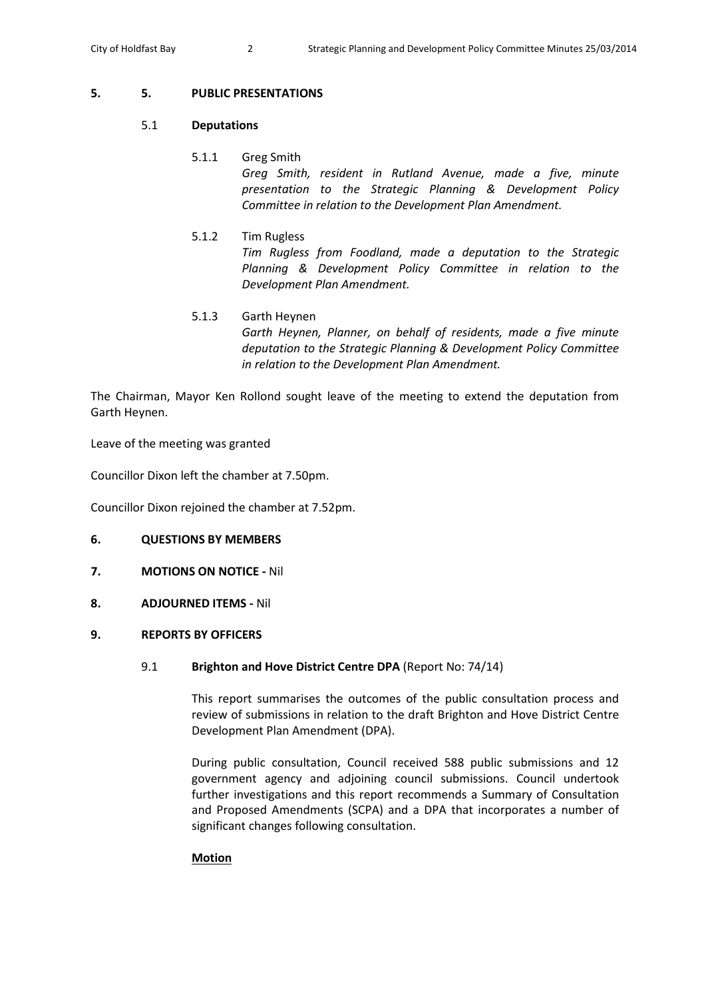## **5. 5. PUBLIC PRESENTATIONS**

## 5.1 **Deputations**

# 5.1.1 Greg Smith

*Greg Smith, resident in Rutland Avenue, made a five, minute presentation to the Strategic Planning & Development Policy Committee in relation to the Development Plan Amendment.*

# 5.1.2 Tim Rugless

*Tim Rugless from Foodland, made a deputation to the Strategic Planning & Development Policy Committee in relation to the Development Plan Amendment.*

# 5.1.3 Garth Heynen *Garth Heynen, Planner, on behalf of residents, made a five minute deputation to the Strategic Planning & Development Policy Committee in relation to the Development Plan Amendment.*

The Chairman, Mayor Ken Rollond sought leave of the meeting to extend the deputation from Garth Heynen.

Leave of the meeting was granted

Councillor Dixon left the chamber at 7.50pm.

Councillor Dixon rejoined the chamber at 7.52pm.

# **6. QUESTIONS BY MEMBERS**

- **7. MOTIONS ON NOTICE -** Nil
- **8. ADJOURNED ITEMS -** Nil

# **9. REPORTS BY OFFICERS**

# 9.1 **Brighton and Hove District Centre DPA** (Report No: 74/14)

This report summarises the outcomes of the public consultation process and review of submissions in relation to the draft Brighton and Hove District Centre Development Plan Amendment (DPA).

During public consultation, Council received 588 public submissions and 12 government agency and adjoining council submissions. Council undertook further investigations and this report recommends a Summary of Consultation and Proposed Amendments (SCPA) and a DPA that incorporates a number of significant changes following consultation.

## **Motion**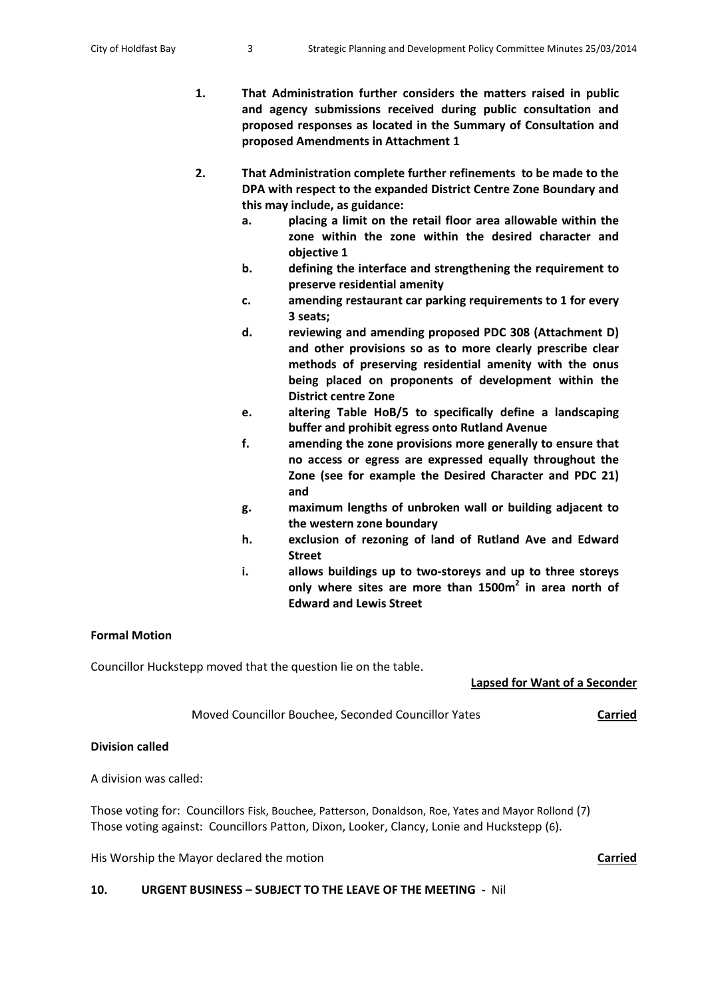- **1. That Administration further considers the matters raised in public and agency submissions received during public consultation and proposed responses as located in the Summary of Consultation and proposed Amendments in Attachment 1**
- **2. That Administration complete further refinements to be made to the DPA with respect to the expanded District Centre Zone Boundary and this may include, as guidance:**
	- **a. placing a limit on the retail floor area allowable within the zone within the zone within the desired character and objective 1**
	- **b. defining the interface and strengthening the requirement to preserve residential amenity**
	- **c. amending restaurant car parking requirements to 1 for every 3 seats;**
	- **d. reviewing and amending proposed PDC 308 (Attachment D) and other provisions so as to more clearly prescribe clear methods of preserving residential amenity with the onus being placed on proponents of development within the District centre Zone**
	- **e. altering Table HoB/5 to specifically define a landscaping buffer and prohibit egress onto Rutland Avenue**
	- **f. amending the zone provisions more generally to ensure that no access or egress are expressed equally throughout the Zone (see for example the Desired Character and PDC 21) and**
	- **g. maximum lengths of unbroken wall or building adjacent to the western zone boundary**
	- **h. exclusion of rezoning of land of Rutland Ave and Edward Street**
	- **i. allows buildings up to two-storeys and up to three storeys only where sites are more than 1500m2 in area north of Edward and Lewis Street**

## **Formal Motion**

Councillor Huckstepp moved that the question lie on the table.

**Lapsed for Want of a Seconder**

Moved Councillor Bouchee, Seconded Councillor Yates **Carried**

## **Division called**

A division was called:

Those voting for: Councillors Fisk, Bouchee, Patterson, Donaldson, Roe, Yates and Mayor Rollond (7) Those voting against: Councillors Patton, Dixon, Looker, Clancy, Lonie and Huckstepp (6).

His Worship the Mayor declared the motion **Carried**

## **10. URGENT BUSINESS – SUBJECT TO THE LEAVE OF THE MEETING -** Nil